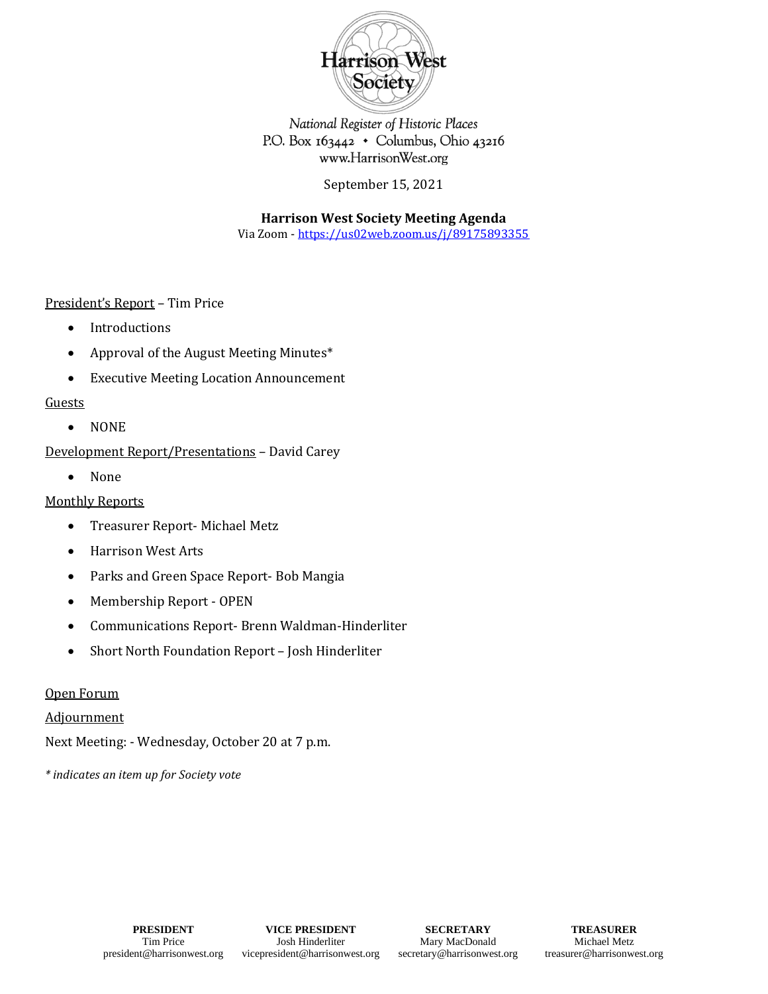

National Register of Historic Places P.O. Box 163442 · Columbus, Ohio 43216 www.HarrisonWest.org

September 15, 2021

**Harrison West Society Meeting Agenda**

Via Zoom - [https://us02web.zoom.us/j/89175893355](https://urldefense.com/v3/__https:/us02web.zoom.us/j/89175893355__;!!OdqygGz-7UHvSw!7Ix5a88Isan627RYaVF4qb88vvoVL6tgOEbB16wRzCn46n-wwsZ1jiD-KVE6TIqJjbsUYJ3lALc$)

President's Report – Tim Price

- Introductions
- Approval of the August Meeting Minutes\*
- Executive Meeting Location Announcement

# Guests

• NONE

Development Report/Presentations – David Carey

• None

# Monthly Reports

- Treasurer Report- Michael Metz
- Harrison West Arts
- Parks and Green Space Report- Bob Mangia
- Membership Report OPEN
- Communications Report- Brenn Waldman-Hinderliter
- Short North Foundation Report Josh Hinderliter

# Open Forum

**Adjournment** 

Next Meeting: - Wednesday, October 20 at 7 p.m.

*\* indicates an item up for Society vote*